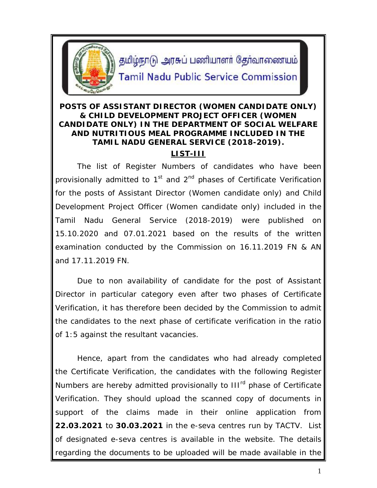

தமிழ்நாடு அரசுப் பணியாளர் தேர்வாணையம்

## **Tamil Nadu Public Service Commission**

## **POSTS OF ASSISTANT DIRECTOR (WOMEN CANDIDATE ONLY) & CHILD DEVELOPMENT PROJECT OFFICER (WOMEN CANDIDATE ONLY) IN THE DEPARTMENT OF SOCIAL WELFARE AND NUTRITIOUS MEAL PROGRAMME INCLUDED IN THE TAMIL NADU GENERAL SERVICE (2018-2019). LIST-III**

The list of Register Numbers of candidates who have been provisionally admitted to  $1<sup>st</sup>$  and  $2<sup>nd</sup>$  phases of Certificate Verification for the posts of Assistant Director (Women candidate only) and Child Development Project Officer (Women candidate only) included in the Tamil Nadu General Service (2018-2019) were published on 15.10.2020 and 07.01.2021 based on the results of the written examination conducted by the Commission on 16.11.2019 FN & AN and 17.11.2019 FN.

Due to non availability of candidate for the post of Assistant Director in particular category even after two phases of Certificate Verification, it has therefore been decided by the Commission to admit the candidates to the next phase of certificate verification in the ratio of 1:5 against the resultant vacancies.

Hence, apart from the candidates who had already completed the Certificate Verification, the candidates with the following Register Numbers are hereby admitted provisionally to III<sup>rd</sup> phase of Certificate Verification. They should upload the scanned copy of documents in support of the claims made in their online application from **22.03.2021** to **30.03.2021** in the e-seva centres run by TACTV. List of designated e-seva centres is available in the website. The details regarding the documents to be uploaded will be made available in the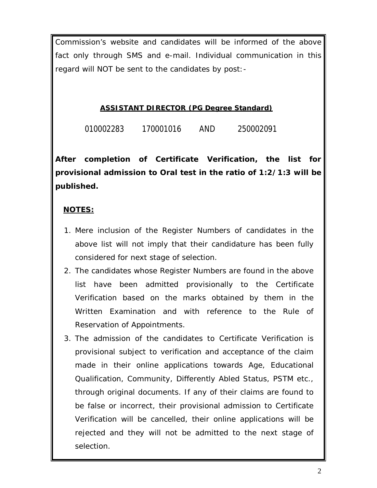Commission's website and candidates will be informed of the above fact only through SMS and e-mail. Individual communication in this regard will NOT be sent to the candidates by post:-

## **ASSISTANT DIRECTOR (PG Degree Standard)**

010002283 170001016 AND 250002091

**After completion of** *Certificate Verification, the list for provisional admission to Oral test in the ratio of 1:2/1:3 will be published.*

## **NOTES:**

- 1. Mere inclusion of the Register Numbers of candidates in the above list will not imply that their candidature has been fully considered for next stage of selection.
- 2. The candidates whose Register Numbers are found in the above list have been admitted provisionally to the Certificate Verification based on the marks obtained by them in the Written Examination and with reference to the Rule of Reservation of Appointments.
- 3. The admission of the candidates to Certificate Verification is provisional subject to verification and acceptance of the claim made in their online applications towards Age, Educational Qualification, Community, Differently Abled Status, PSTM etc., through original documents. If any of their claims are found to be false or incorrect, their provisional admission to Certificate Verification will be cancelled, their online applications will be rejected and they will not be admitted to the next stage of selection.